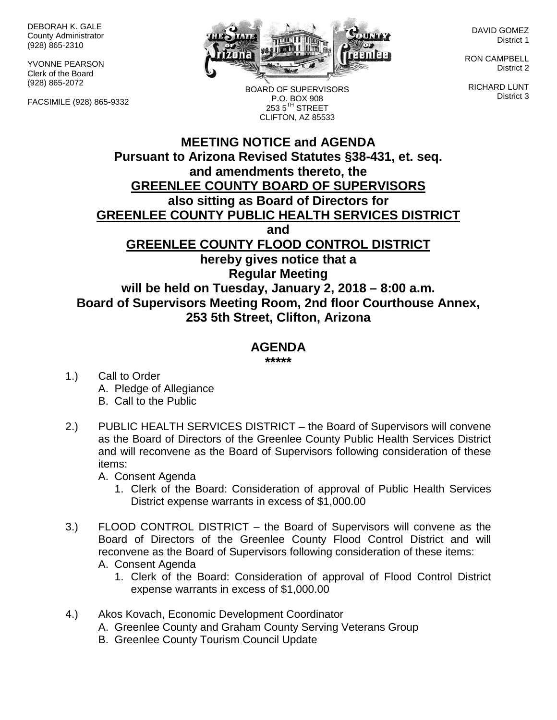DEBORAH K. GALE County Administrator (928) 865-2310

YVONNE PEARSON Clerk of the Board (928) 865-2072

FACSIMILE (928) 865-9332



BOARD OF SUPERVISORS P.O. BOX 908  $2535^{\text{TH}}$  STREET CLIFTON, AZ 85533

DAVID GOMEZ District 1

RON CAMPBELL District 2

RICHARD LUNT District 3

## **MEETING NOTICE and AGENDA Pursuant to Arizona Revised Statutes §38-431, et. seq. and amendments thereto, the GREENLEE COUNTY BOARD OF SUPERVISORS also sitting as Board of Directors for GREENLEE COUNTY PUBLIC HEALTH SERVICES DISTRICT and GREENLEE COUNTY FLOOD CONTROL DISTRICT hereby gives notice that a Regular Meeting will be held on Tuesday, January 2, 2018 – 8:00 a.m. Board of Supervisors Meeting Room, 2nd floor Courthouse Annex, 253 5th Street, Clifton, Arizona**

## **AGENDA**

**\*\*\*\*\***

- 1.) Call to Order A. Pledge of Allegiance B. Call to the Public
- 2.) PUBLIC HEALTH SERVICES DISTRICT the Board of Supervisors will convene as the Board of Directors of the Greenlee County Public Health Services District and will reconvene as the Board of Supervisors following consideration of these items:

A. Consent Agenda

- 1. Clerk of the Board: Consideration of approval of Public Health Services District expense warrants in excess of \$1,000.00
- 3.) FLOOD CONTROL DISTRICT the Board of Supervisors will convene as the Board of Directors of the Greenlee County Flood Control District and will reconvene as the Board of Supervisors following consideration of these items: A. Consent Agenda
	- 1. Clerk of the Board: Consideration of approval of Flood Control District expense warrants in excess of \$1,000.00
- 4.) Akos Kovach, Economic Development Coordinator
	- A. Greenlee County and Graham County Serving Veterans Group
	- B. Greenlee County Tourism Council Update